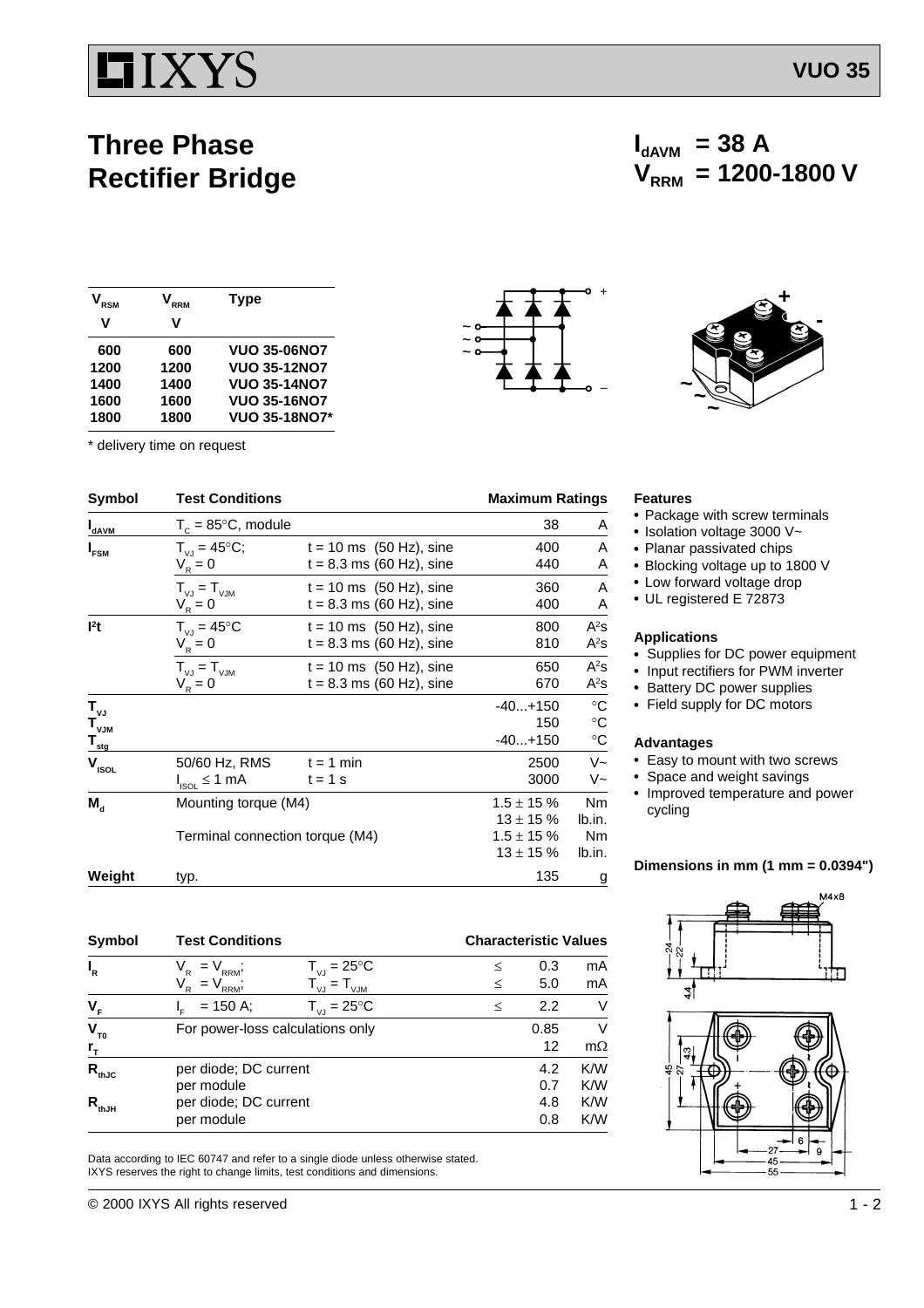# **TIXYS**

# **Three Phase Rectifier Bridge**

| <b>RSM</b> | RRM  | <b>Type</b>          |
|------------|------|----------------------|
| v          | v    |                      |
| 600        | 600  | <b>VUO 35-06NO7</b>  |
| 1200       | 1200 | <b>VUO 35-12NO7</b>  |
| 1400       | 1400 | <b>VUO 35-14NO7</b>  |
| 1600       | 1600 | <b>VUO 35-16NO7</b>  |
| 1800       | 1800 | <b>VUO 35-18NO7*</b> |

\* delivery time on request

|               | L |
|---------------|---|
| ~<br>$\sim$ 0 |   |
| $\sim$ 0      |   |
|               |   |
|               |   |



 $V_{RRM}$  = 1200-1800 V

| Symbol                    | <b>Test Conditions</b>          |                             | <b>Maximum Ratings</b> |                   |
|---------------------------|---------------------------------|-----------------------------|------------------------|-------------------|
| <b>D</b> <sub>dAVM</sub>  | $T_c = 85^{\circ}$ C, module    |                             | 38                     | A                 |
| $I_{FSM}$                 | $T_{V,I} = 45^{\circ}C$ ;       | $t = 10$ ms $(50$ Hz), sine | 400                    | A                 |
|                           | $V_R = 0$                       | $t = 8.3$ ms (60 Hz), sine  | 440                    | Α                 |
|                           | $T_{V,J} = T_{V,JM}$            | $t = 10$ ms $(50$ Hz), sine | 360                    | A                 |
|                           | $V_R = 0$                       | $t = 8.3$ ms (60 Hz), sine  | 400                    | Α                 |
| l <sup>2</sup> t          | $T_{V1} = 45^{\circ}C$          | $t = 10$ ms $(50$ Hz), sine | 800                    | $A^2S$            |
|                           | $V_{R} = 0$                     | $t = 8.3$ ms (60 Hz), sine  | 810                    | $A^2S$            |
|                           | $T_{V,I} = T_{VJM}$             | $t = 10$ ms $(50$ Hz), sine | 650                    | $A^2S$            |
|                           | $V_R = 0$                       | $t = 8.3$ ms (60 Hz), sine  | 670                    | $A^2s$            |
| $T_{\nu J}$               |                                 |                             | $-40+150$              | $\rm ^{\circ}C$   |
| $\mathbf{T}_{\text{VJM}}$ |                                 |                             | 150                    | $^\circ \text{C}$ |
| $T_{_{\rm{stg}}}$         |                                 |                             | $-40+150$              | $^\circ \text{C}$ |
| $V_{ISOL}$                | 50/60 Hz, RMS                   | $t = 1$ min                 | 2500                   | $V -$             |
|                           | $I_{ISOL} \leq 1$ mA            | $t = 1$ s                   | 3000                   | V~                |
| $M_{\rm d}$               | Mounting torque (M4)            |                             | $1.5 \pm 15 \%$        | <b>Nm</b>         |
|                           |                                 |                             | $13 \pm 15 \%$         | lb.in.            |
|                           | Terminal connection torque (M4) |                             | $1.5 \pm 15 \%$        | <b>Nm</b>         |
|                           |                                 |                             | $13 \pm 15 \%$         | lb.in.            |
| Weight                    | typ.                            |                             | 135                    | g                 |

| Symbol                        | <b>Test Conditions</b>            |                                          |        | <b>Characteristic Values</b> |           |  |
|-------------------------------|-----------------------------------|------------------------------------------|--------|------------------------------|-----------|--|
| $I_R$                         | $= V_{\text{RRM}}$<br>$V_{\rm R}$ | $T_{VJ} = 25^{\circ}C$                   | ≤      | 0.3                          | mA        |  |
|                               | $= V_{RRM}$<br>V <sub>R</sub>     | $T_{\vee \text{J}} = T_{\vee \text{JM}}$ | ≤      | 5.0                          | mA        |  |
| $V_F$                         | $= 150$ A;                        | $T_{VJ} = 25^{\circ}C$                   | $\leq$ | 2.2                          | V         |  |
| $V_{T0}$                      | For power-loss calculations only  |                                          |        | 0.85                         | $\vee$    |  |
| $r_{\scriptscriptstyle\rm T}$ |                                   |                                          |        | 12                           | $m\Omega$ |  |
| $R_{thJC}$                    | per diode; DC current             |                                          |        | 4.2                          | K/W       |  |
|                               | per module                        |                                          |        | 0.7                          | K/W       |  |
| $R_{\rm thJH}$                | per diode; DC current             |                                          |        | 4.8                          | K/W       |  |
|                               | per module                        |                                          |        | 0.8                          | K/W       |  |

Data according to IEC 60747 and refer to a single diode unless otherwise stated. IXYS reserves the right to change limits, test conditions and dimensions.

#### **Features**

- Package with screw terminals
- Isolation voltage 3000 V~
- Planar passivated chips

 $I_{dAVM}$  = 38 A

- Blocking voltage up to 1800 V
- Low forward voltage drop
- UL registered E 72873

## **Applications**

- Supplies for DC power equipment
- Input rectifiers for PWM inverter
- Battery DC power supplies
- Field supply for DC motors

#### **Advantages**

- Easy to mount with two screws
- Space and weight savings
- Improved temperature and power cycling

## **Dimensions in mm (1 mm = 0.0394")**